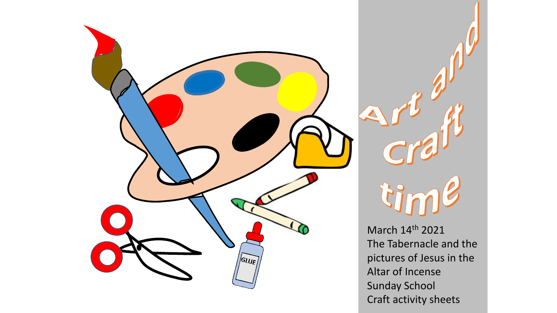



March 14th 2021 The Tabernacle and the pictures of Jesus in the Altar of Incense Sunday School Craft activity sheets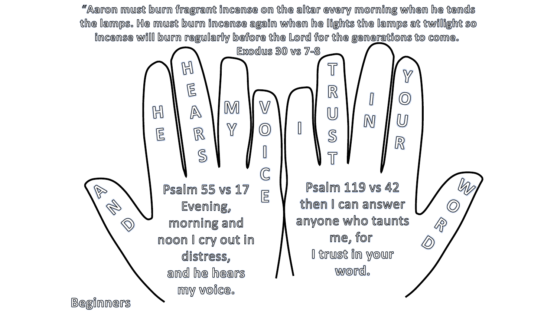"Aaron must burn fragrant incense on the altar every morning when he tends the lamps. He must burn incense again when he lights the lamps at twilight so incense will burn regularly before the Lord for the generations to come.

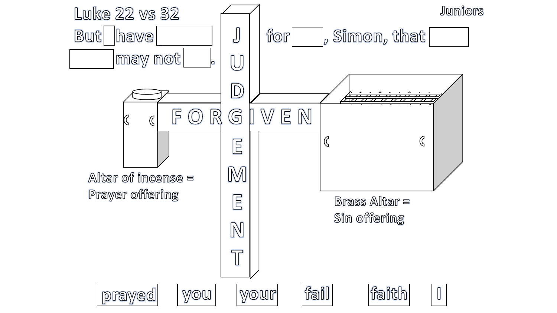